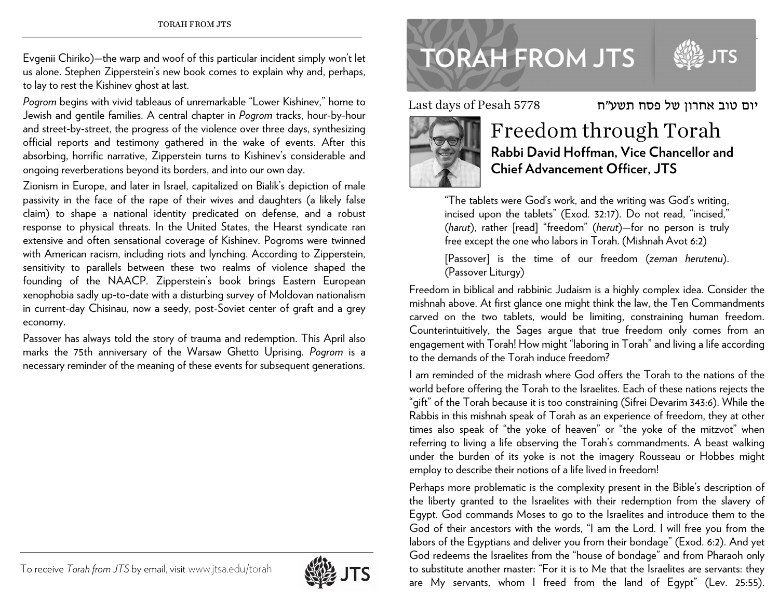Evgenii Chiriko)—the warp and woof of this particular incident simply won't let us alone. Stephen Zipperstein's new book comes to explain why and, perhaps, to lay to rest the Kishinev ghost at last.

*Pogrom* begins with vivid tableaus of unremarkable "Lower Kishinev," home to Jewish and gentile families. A central chapter in *Pogrom* tracks, hour-by-hour and street-by-street, the progress of the violence over three days, synthesizing official reports and testimony gathered in the wake of events. After this absorbing, horrific narrative, Zipperstein turns to Kishinev's considerable and ongoing reverberations beyond its borders, and into our own day.

Zionism in Europe, and later in Israel, capitalized on Bialik's depiction of male passivity in the face of the rape of their wives and daughters (a likely false claim) to shape a national identity predicated on defense, and a robust response to physical threats. In the United States, the Hearst syndicate ran extensive and often sensational coverage of Kishinev. Pogroms were twinned with American racism, including riots and lynching. According to Zipperstein, sensitivity to parallels between these two realms of violence shaped the founding of the NAACP. Zipperstein's book brings Eastern European xenophobia sadly up-to-date with a disturbing survey of Moldovan nationalism in current-day Chisinau, now a seedy, post-Soviet center of graft and a grey economy.

Passover has always told the story of trauma and redemption. This April also marks the 75th anniversary of the Warsaw Ghetto Uprising. *Pogrom* is a necessary reminder of the meaning of these events for subsequent generations.



Last days of Pesah 5778



## Freedom through Torah **Rabbi David Hoffman, Vice Chancellor and Chief Advancement Officer, JTS**

יום טוב אחרון של פסח תשע"ח

"The tablets were God's work, and the writing was God's writing, incised upon the tablets" (Exod. 32:17). Do not read, "incised," (*harut*), rather [read] "freedom" (*herut*)—for no person is truly free except the one who labors in Torah. (Mishnah Avot 6:2)

[Passover] is the time of our freedom (*zeman herutenu*). (Passover Liturgy)

Freedom in biblical and rabbinic Judaism is a highly complex idea. Consider the mishnah above. At first glance one might think the law, the Ten Commandments carved on the two tablets, would be limiting, constraining human freedom. Counterintuitively, the Sages argue that true freedom only comes from an engagement with Torah! How might "laboring in Torah" and living a life according to the demands of the Torah induce freedom?

I am reminded of the midrash where God offers the Torah to the nations of the world before offering the Torah to the Israelites. Each of these nations rejects the "gift" of the Torah because it is too constraining (Sifrei Devarim 343:6). While the Rabbis in this mishnah speak of Torah as an experience of freedom, they at other times also speak of "the yoke of heaven" or "the yoke of the mitzvot" when referring to living a life observing the Torah's commandments. A beast walking under the burden of its yoke is not the imagery Rousseau or Hobbes might employ to describe their notions of a life lived in freedom!

Perhaps more problematic is the complexity present in the Bible's description of the liberty granted to the Israelites with their redemption from the slavery of Egypt. God commands Moses to go to the Israelites and introduce them to the God of their ancestors with the words, "I am the Lord. I will free you from the labors of the Egyptians and deliver you from their bondage" (Exod. 6:2). And yet God redeems the Israelites from the "house of bondage" and from Pharaoh only to substitute another master: "For it is to Me that the Israelites are servants: they are My servants, whom I freed from the land of Egypt" (Lev. 25:55).